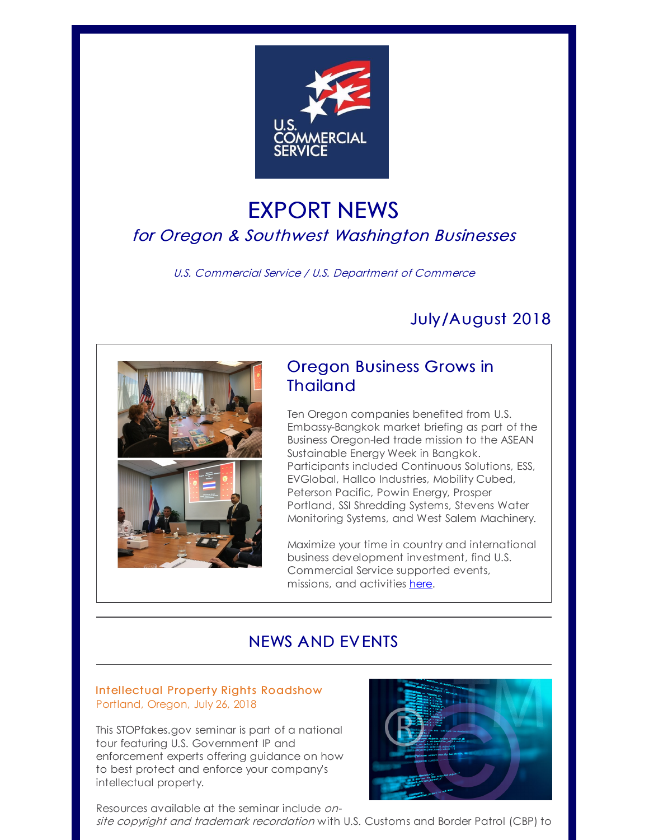

# EXPORT NEWS for Oregon & Southwest Washington Businesses

U.S. Commercial Service / U.S. Department of Commerce

# July/August 2018



## Oregon Business Grows in **Thailand**

Ten Oregon companies benefited from U.S. Embassy-Bangkok market briefing as part of the Business Oregon-led trade mission to the ASEAN Sustainable Energy Week in Bangkok. Participants included Continuous Solutions, ESS, EVGlobal, Hallco Industries, Mobility Cubed, Peterson Pacific, Powin Energy, Prosper Portland, SSI Shredding Systems, Stevens Water Monitoring Systems, and West Salem Machinery.

Maximize your time in country and international business development investment, find U.S. Commercial Service supported events, missions, and activities [here](http://r20.rs6.net/tn.jsp?f=001f6CfXZ-z30mH9eSxtgfXmfymwxHk2fZu2-INvnNaZO_gD4RnQ-DwtATEO_3DhKHj_X7s1CijP9kFMXpTiVQLUcL_eIMKis-PovDCEVc9aufYRpkjv9VthfIHZJFuFYUDE7jmmKEGI7F9ZISe1kO-hZneBEyod10EbTY41WAwOqwArx3t1vb9HA==&c=&ch=).

## NEWS AND EVENTS

## Intellectual Property Rights [Roadshow](http://r20.rs6.net/tn.jsp?f=001f6CfXZ-z30mH9eSxtgfXmfymwxHk2fZu2-INvnNaZO_gD4RnQ-DwtO31iyyUE2dQUZPAQOWikBdHB8iCcC5fD_00wrcvVxd-RD4ku7MOySo38nHgVOQZIHi45yraSa5H2yOvAUVKD973sxWJG47lGlbDxNODlqF0zxwpdRqw1S1BmGqpuxhpGkpcxbcHgtxtxsg3XvMtsrIt7-ruMeMlbei2R1PtJvWN28vCWdefGRGX4A5JfQFHfP8X0073vcFIZpR3gjzlqxf8CrMeHKT0Lg==&c=&ch=) Portland, Oregon, July 26, 2018

This STOPfakes.gov seminar is part of a national tour featuring U.S. Government IP and enforcement experts offering guidance on how to best protect and enforce your company's intellectual property.





site copyright and trademark recordation with U.S. Customs and Border Patrol (CBP) to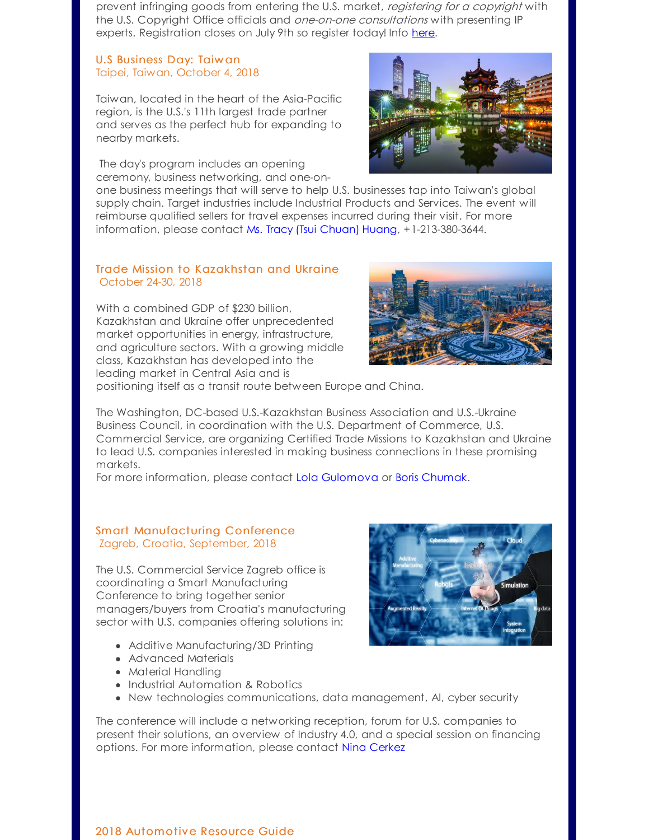prevent infringing goods from entering the U.S. market, registering for a copyright with the U.S. Copyright Office officials and *one-on-one consultations* with presenting IP experts. Registration closes on July 9th so register today! Info [here](http://r20.rs6.net/tn.jsp?f=001f6CfXZ-z30mH9eSxtgfXmfymwxHk2fZu2-INvnNaZO_gD4RnQ-DwtO31iyyUE2dQUZPAQOWikBdHB8iCcC5fD_00wrcvVxd-RD4ku7MOySo38nHgVOQZIHi45yraSa5H2yOvAUVKD973sxWJG47lGlbDxNODlqF0zxwpdRqw1S1BmGqpuxhpGkpcxbcHgtxtxsg3XvMtsrIt7-ruMeMlbei2R1PtJvWN28vCWdefGRGX4A5JfQFHfP8X0073vcFIZpR3gjzlqxf8CrMeHKT0Lg==&c=&ch=).

### U.S Business Day: Taiw an Taipei, Taiwan, October 4, 2018

Taiwan, located in the heart of the Asia-Pacific region, is the U.S.'s 11th largest trade partner and serves as the perfect hub for expanding to nearby markets.

The day's program includes an opening ceremony, business networking, and one-on-



one business meetings that will serve to help U.S. businesses tap into Taiwan's global supply chain. Target industries include Industrial Products and Services. The event will reimburse qualified sellers for travel expenses incurred during their visit. For more information, please contact Ms. Tracy (Tsui [Chuan\)](mailto:tchuang@moea.gov.tw) Huang, +1-213-380-3644.

## Trade Mission to Kazakhstan and Ukraine October 24-30, 2018

With a combined GDP of \$230 billion. Kazakhstan and Ukraine offer unprecedented market opportunities in energy, infrastructure, and agriculture sectors. With a growing middle class, Kazakhstan has developed into the leading market in Central Asia and is



positioning itself as a transit route between Europe and China.

The Washington, DC-based U.S.-Kazakhstan Business Association and U.S.-Ukraine Business Council, in coordination with the U.S. Department of Commerce, U.S. Commercial Service, are organizing Certified Trade Missions to Kazakhstan and Ukraine to lead U.S. companies interested in making business connections in these promising markets.

For more information, please contact Lola [Gulomova](mailto:Lola.Gulomova@trade.gov) or Boris [Chumak](mailto:Boris.Chumak@trade.gov).

## Smart Manufacturing Conference Zagreb, Croatia, September, 2018

The U.S. Commercial Service Zagreb office is coordinating a Smart Manufacturing Conference to bring together senior managers/buyers from Croatia's manufacturing sector with U.S. companies offering solutions in:

- Additive Manufacturing/3D Printing
- Advanced Materials
- Material Handling
- Industrial Automation & Robotics
- New technologies communications, data management, AI, cyber security

The conference will include a networking reception, forum for U.S. companies to present their solutions, an overview of Industry 4.0, and a special session on financing options. For more information, please contact Nina [Cerkez](mailto:Nina.Cerkez@trade.gov)



## 2018 [Automotive](http://r20.rs6.net/tn.jsp?f=001f6CfXZ-z30mH9eSxtgfXmfymwxHk2fZu2-INvnNaZO_gD4RnQ-DwtATEO_3DhKHjJcKRX80RounNYQ0YWN4RjyjnhJwmRBZx_WTtRv6fvCrt6J3a3fNiVq3wJ05BXJyDCCxz94Ya8VQkvRNiKJII58YuRl6wYfL1CP3sTQsMU6A=&c=&ch=) Resource Guide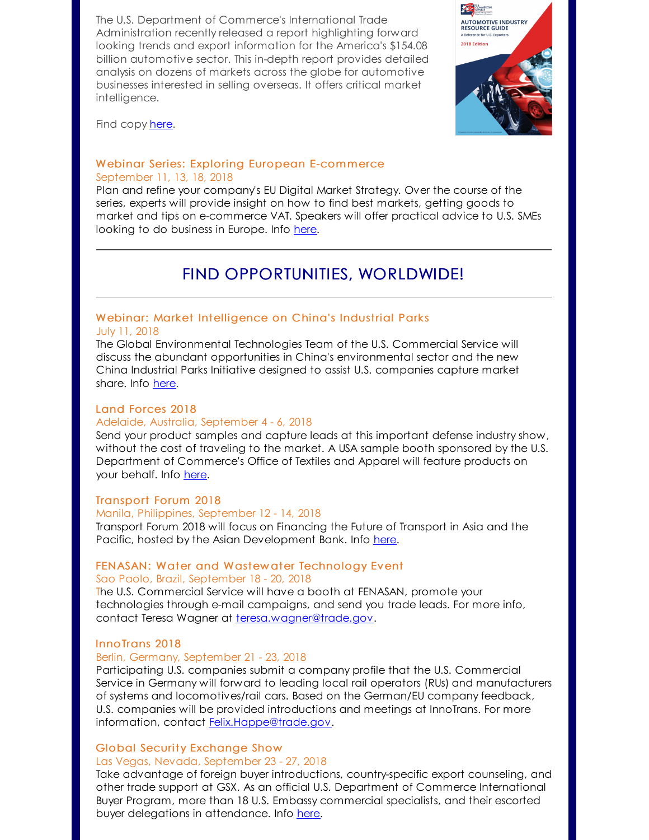The U.S. Department of Commerce's International Trade Administration recently released a report highlighting forward looking trends and export information for the America's \$154.08 billion automotive sector. This in-depth report provides detailed analysis on dozens of markets across the globe for automotive businesses interested in selling overseas. It offers critical market intelligence.



Find copy [here](http://r20.rs6.net/tn.jsp?f=001f6CfXZ-z30mH9eSxtgfXmfymwxHk2fZu2-INvnNaZO_gD4RnQ-DwtATEO_3DhKHjJcKRX80RounNYQ0YWN4RjyjnhJwmRBZx_WTtRv6fvCrt6J3a3fNiVq3wJ05BXJyDCCxz94Ya8VQkvRNiKJII58YuRl6wYfL1CP3sTQsMU6A=&c=&ch=).

## Webinar Series: Exploring European E-commerce September 11, 13, 18, 2018

Plan and refine your company's EU Digital Market Strategy. Over the course of the series, experts will provide insight on how to find best markets, getting goods to market and tips on e-commerce VAT. Speakers will offer practical advice to U.S. SMEs looking to do business in Europe. Info [here](http://r20.rs6.net/tn.jsp?f=001f6CfXZ-z30mH9eSxtgfXmfymwxHk2fZu2-INvnNaZO_gD4RnQ-DwtL8fFZfuqWUdOyh_0JS1LGwTXVAAdrflEs-ajilQaedZdZYcvN0M6BZhRy5tUpoJmUi6Hf0vCCe7RdePnfIka-f1jUX2_2xi-Y8ldoGm43R9Qr4jvfw9iC5J7AV99xt1oUpue2fXhldOh1CXPmC2bP1fI6PBGzSbX8oae2atN2me7syJy6Zo45J3dswph-MLbw==&c=&ch=).

## FIND OPPORTUNITIES, WORLDWIDE!

## Webinar: Market Intelligence on China's [Industrial](http://r20.rs6.net/tn.jsp?f=001f6CfXZ-z30mH9eSxtgfXmfymwxHk2fZu2-INvnNaZO_gD4RnQ-DwtATEO_3DhKHj9hDjB1VTgABPiRNftsE5qPvpElZivK7Ky5kJ5LAOthkP05gFTHhUtOlKVqGtbbrZvO3RWnXBS9cPSVRgt1DUhLE5Pkh6vtB02puNcfXf3p0=&c=&ch=) Parks

## July 11, 2018

The Global Environmental Technologies Team of the U.S. Commercial Service will discuss the abundant opportunities in China's environmental sector and the new China Industrial Parks Initiative designed to assist U.S. companies capture market share. Info [here](http://r20.rs6.net/tn.jsp?f=001f6CfXZ-z30mH9eSxtgfXmfymwxHk2fZu2-INvnNaZO_gD4RnQ-DwtATEO_3DhKHj9hDjB1VTgABPiRNftsE5qPvpElZivK7Ky5kJ5LAOthkP05gFTHhUtOlKVqGtbbrZvO3RWnXBS9cPSVRgt1DUhLE5Pkh6vtB02puNcfXf3p0=&c=&ch=).

### Land [Forces](http://r20.rs6.net/tn.jsp?f=001f6CfXZ-z30mH9eSxtgfXmfymwxHk2fZu2-INvnNaZO_gD4RnQ-DwtBvmVCYbsx5orUaZotfFWSaUNkaEujZIPNFI0ws17fZmtlt4gbKrgx6OL_JHXz-08k3yddGLJW8EX5WUkEIv0kIc3Yka2KCB2nwT00SS-a4aLNN4GgItjKS0v8-yVzpt4w==&c=&ch=) 2018

#### Adelaide, Australia, September 4 - 6, 2018

Send your product samples and capture leads at this important defense industry show, without the cost of traveling to the market. A USA sample booth sponsored by the U.S. Department of Commerce's Office of Textiles and Apparel will feature products on your behalf. Info [here](http://r20.rs6.net/tn.jsp?f=001f6CfXZ-z30mH9eSxtgfXmfymwxHk2fZu2-INvnNaZO_gD4RnQ-DwtBvmVCYbsx5orUaZotfFWSaUNkaEujZIPNFI0ws17fZmtlt4gbKrgx6OL_JHXz-08k3yddGLJW8EX5WUkEIv0kIc3Yka2KCB2nwT00SS-a4aLNN4GgItjKS0v8-yVzpt4w==&c=&ch=).

## [Transport](http://r20.rs6.net/tn.jsp?f=001f6CfXZ-z30mH9eSxtgfXmfymwxHk2fZu2-INvnNaZO_gD4RnQ-DwtATEO_3DhKHjFEgMqBhXUUa5jqbHvrnSktXIO3Py2mlJiPFDYBda0zuF_JTG6kUXy4gvvztAB7T4ptwHAfvzbBkbQaNG023rxu4rTdwX51APrxdgvBGiiaGBcNnyB9xPjjp97EkKT8tHboyZqBfFhk2fTWiLfVZPQu45fLMt8C_u&c=&ch=) Forum 2018

### Manila, Philippines, September 12 - 14, 2018

Transport Forum 2018 will focus on Financing the Future of Transport in Asia and the Pacific, hosted by the Asian Development Bank. Info [here](http://r20.rs6.net/tn.jsp?f=001f6CfXZ-z30mH9eSxtgfXmfymwxHk2fZu2-INvnNaZO_gD4RnQ-DwtATEO_3DhKHjFEgMqBhXUUa5jqbHvrnSktXIO3Py2mlJiPFDYBda0zuF_JTG6kUXy4gvvztAB7T4ptwHAfvzbBkbQaNG023rxu4rTdwX51APrxdgvBGiiaGBcNnyB9xPjjp97EkKT8tHboyZqBfFhk2fTWiLfVZPQu45fLMt8C_u&c=&ch=).

#### FENASAN: Water and Wastew ater Technology Event Sao Paolo, Brazil, September 18 - 20, 2018

The U.S. Commercial Service will have a booth at FENASAN, promote your technologies through e-mail campaigns, and send you trade leads. For more info, contact Teresa Wagner at [teresa.wagner@trade.gov](mailto:teresa.wagner@trade.gov).

#### InnoTrans 2018

#### Berlin, Germany, September 21 - 23, 2018

Participating U.S. companies submit a company profile that the U.S. Commercial Service in Germany will forward to leading local rail operators (RUs) and manufacturers of systems and locomotives/rail cars. Based on the German/EU company feedback, U.S. companies will be provided introductions and meetings at InnoTrans. For more information, contact **Felix. Happe@trade.gov.** 

#### Global Security [Exchange](http://r20.rs6.net/tn.jsp?f=001f6CfXZ-z30mH9eSxtgfXmfymwxHk2fZu2-INvnNaZO_gD4RnQ-DwtMJieju_wwSvqsFvBcjtOap6VnfTaPWXe_TtA5U68F4bkBcHuvEl9viQLFw2CCh3PakGbSb-_tZn-eMOCA_HSb-1VX1rwXbWKJTeRGN3qBsV8KeT8zqR8OcvREjEWefAPw6XB1T1Y_VFJlfY8lCGL4DqivVohERBkSPgKjmlYFtt&c=&ch=) Show

### Las Vegas, Nevada, September 23 - 27, 2018

Take advantage of foreign buyer introductions, country-specific export counseling, and other trade support at GSX. As an official U.S. Department of Commerce International Buyer Program, more than 18 U.S. Embassy commercial specialists, and their escorted buyer delegations in attendance. Info [here](http://r20.rs6.net/tn.jsp?f=001f6CfXZ-z30mH9eSxtgfXmfymwxHk2fZu2-INvnNaZO_gD4RnQ-DwtMJieju_wwSvqsFvBcjtOap6VnfTaPWXe_TtA5U68F4bkBcHuvEl9viQLFw2CCh3PakGbSb-_tZn-eMOCA_HSb-1VX1rwXbWKJTeRGN3qBsV8KeT8zqR8OcvREjEWefAPw6XB1T1Y_VFJlfY8lCGL4DqivVohERBkSPgKjmlYFtt&c=&ch=).